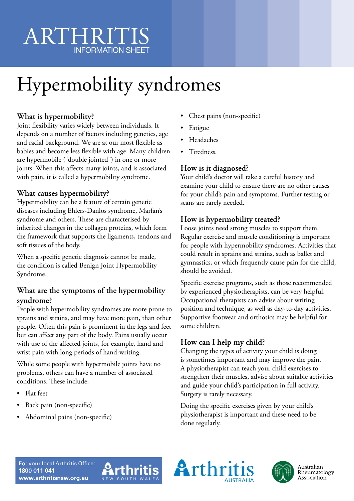## ARTHRITI INFORMATION SHEET

# Hypermobility syndromes

### **What is hypermobility?**

Joint flexibility varies widely between individuals. It depends on a number of factors including genetics, age and racial background. We are at our most flexible as babies and become less flexible with age. Many children are hypermobile ("double jointed") in one or more joints. When this affects many joints, and is associated with pain, it is called a hypermobility syndrome.

#### **What causes hypermobility?**

Hypermobility can be a feature of certain genetic diseases including Ehlers-Danlos syndrome, Marfan's syndrome and others. These are characterised by inherited changes in the collagen proteins, which form the framework that supports the ligaments, tendons and soft tissues of the body.

When a specific genetic diagnosis cannot be made, the condition is called Benign Joint Hypermobility Syndrome.

#### **What are the symptoms of the hypermobility syndrome?**

People with hypermobility syndromes are more prone to sprains and strains, and may have more pain, than other people. Often this pain is prominent in the legs and feet but can affect any part of the body. Pains usually occur with use of the affected joints, for example, hand and wrist pain with long periods of hand-writing.

While some people with hypermobile joints have no problems, others can have a number of associated conditions. These include:

- Flat feet
- Back pain (non-specific)
- Abdominal pains (non-specific)
- Chest pains (non-specific)
- Fatigue
- Headaches
- Tiredness.

#### **How is it diagnosed?**

Your child's doctor will take a careful history and examine your child to ensure there are no other causes for your child's pain and symptoms. Further testing or scans are rarely needed.

#### **How is hypermobility treated?**

Loose joints need strong muscles to support them. Regular exercise and muscle conditioning is important for people with hypermobility syndromes. Activities that could result in sprains and strains, such as ballet and gymnastics, or which frequently cause pain for the child, should be avoided.

Specific exercise programs, such as those recommended by experienced physiotherapists, can be very helpful. Occupational therapists can advise about writing position and technique, as well as day-to-day activities. Supportive footwear and orthotics may be helpful for some children.

#### **How can I help my child?**

Changing the types of activity your child is doing is sometimes important and may improve the pain. A physiotherapist can teach your child exercises to strengthen their muscles, advise about suitable activities and guide your child's participation in full activity. Surgery is rarely necessary.

Doing the specific exercises given by your child's physiotherapist is important and these need to be done regularly.